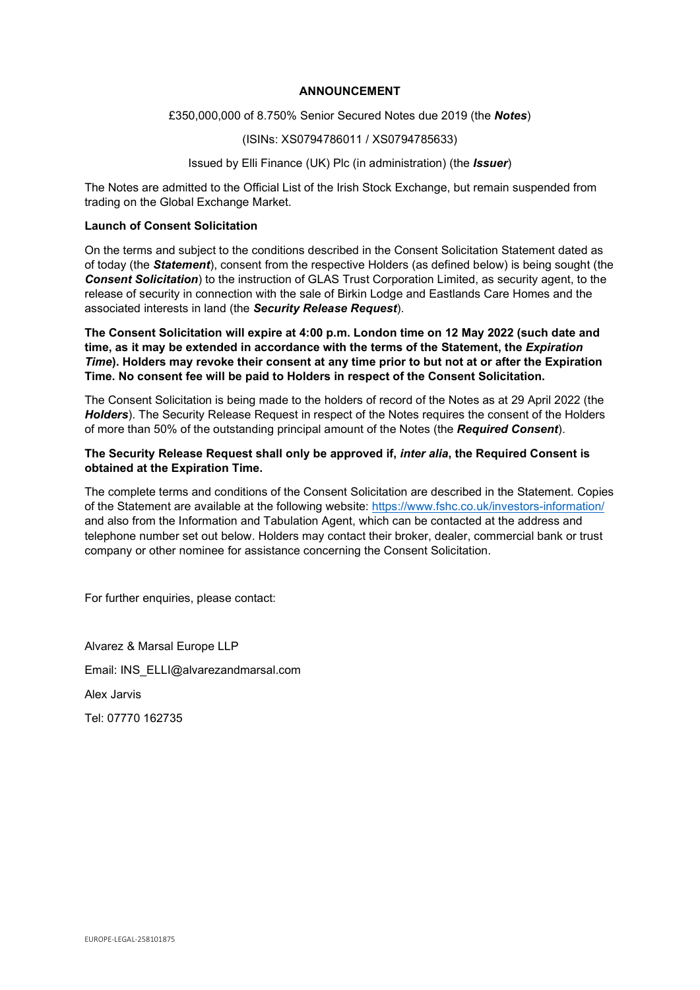# ANNOUNCEMENT

#### £350,000,000 of 8.750% Senior Secured Notes due 2019 (the Notes)

#### (ISINs: XS0794786011 / XS0794785633)

# Issued by Elli Finance (UK) Plc (in administration) (the *Issuer*)

The Notes are admitted to the Official List of the Irish Stock Exchange, but remain suspended from trading on the Global Exchange Market.

# Launch of Consent Solicitation

On the terms and subject to the conditions described in the Consent Solicitation Statement dated as of today (the **Statement**), consent from the respective Holders (as defined below) is being sought (the **Consent Solicitation**) to the instruction of GLAS Trust Corporation Limited, as security agent, to the release of security in connection with the sale of Birkin Lodge and Eastlands Care Homes and the associated interests in land (the Security Release Request).

The Consent Solicitation will expire at 4:00 p.m. London time on 12 May 2022 (such date and time, as it may be extended in accordance with the terms of the Statement, the *Expiration* Time). Holders may revoke their consent at any time prior to but not at or after the Expiration Time. No consent fee will be paid to Holders in respect of the Consent Solicitation.

The Consent Solicitation is being made to the holders of record of the Notes as at 29 April 2022 (the Holders). The Security Release Request in respect of the Notes requires the consent of the Holders of more than 50% of the outstanding principal amount of the Notes (the Required Consent).

#### The Security Release Request shall only be approved if, inter alia, the Required Consent is obtained at the Expiration Time.

The complete terms and conditions of the Consent Solicitation are described in the Statement. Copies of the Statement are available at the following website: https://www.fshc.co.uk/investors-information/ and also from the Information and Tabulation Agent, which can be contacted at the address and telephone number set out below. Holders may contact their broker, dealer, commercial bank or trust company or other nominee for assistance concerning the Consent Solicitation.

For further enquiries, please contact:

Alvarez & Marsal Europe LLP Email: INS\_ELLI@alvarezandmarsal.com Alex Jarvis Tel: 07770 162735